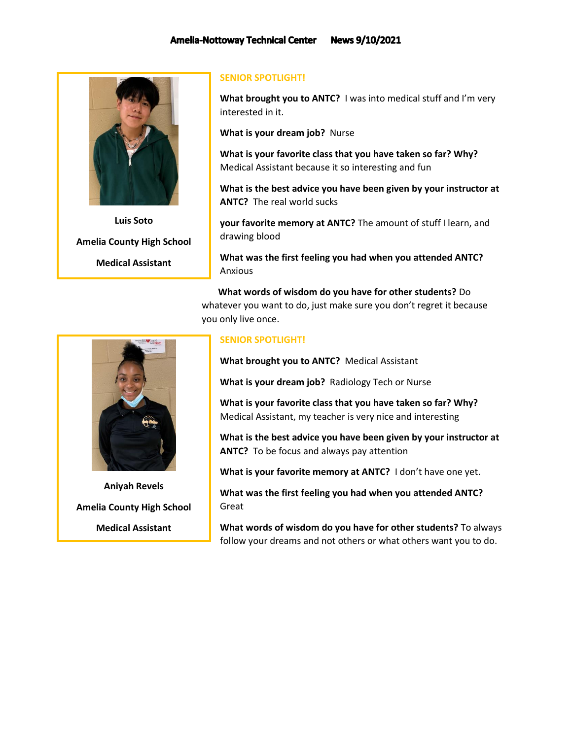

**Luis Soto Amelia County High School Medical Assistant**

## **SENIOR SPOTLIGHT!**

**What brought you to ANTC?** I was into medical stuff and I'm very interested in it.

**What is your dream job?** Nurse

**What is your favorite class that you have taken so far? Why?**  Medical Assistant because it so interesting and fun

**What is the best advice you have been given by your instructor at ANTC?** The real world sucks

**your favorite memory at ANTC?** The amount of stuff I learn, and drawing blood

**What was the first feeling you had when you attended ANTC?**  Anxious

 **What words of wisdom do you have for other students?** Do whatever you want to do, just make sure you don't regret it because you only live once.

## **SENIOR SPOTLIGHT!**

**What brought you to ANTC?** Medical Assistant

**What is your dream job?** Radiology Tech or Nurse

**What is your favorite class that you have taken so far? Why?**  Medical Assistant, my teacher is very nice and interesting

**What is the best advice you have been given by your instructor at ANTC?** To be focus and always pay attention

**What is your favorite memory at ANTC?** I don't have one yet.

**What was the first feeling you had when you attended ANTC?** Great

**What words of wisdom do you have for other students?** To always follow your dreams and not others or what others want you to do.



**Aniyah Revels Amelia County High School Medical Assistant**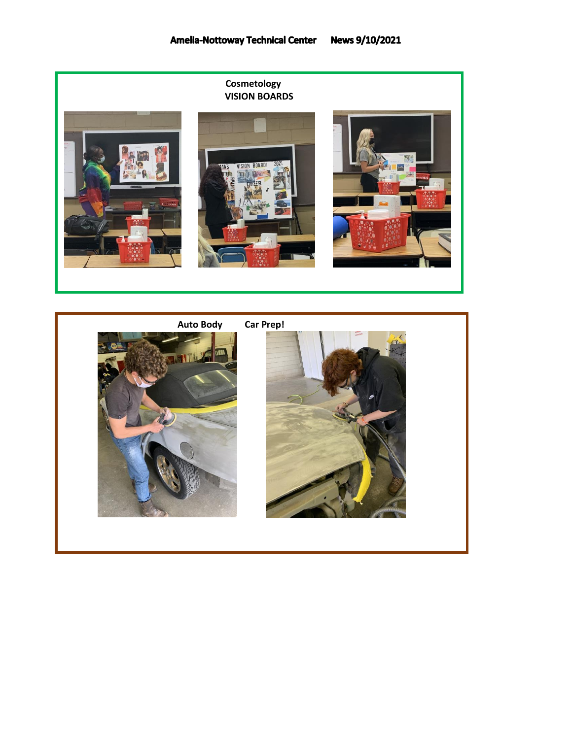